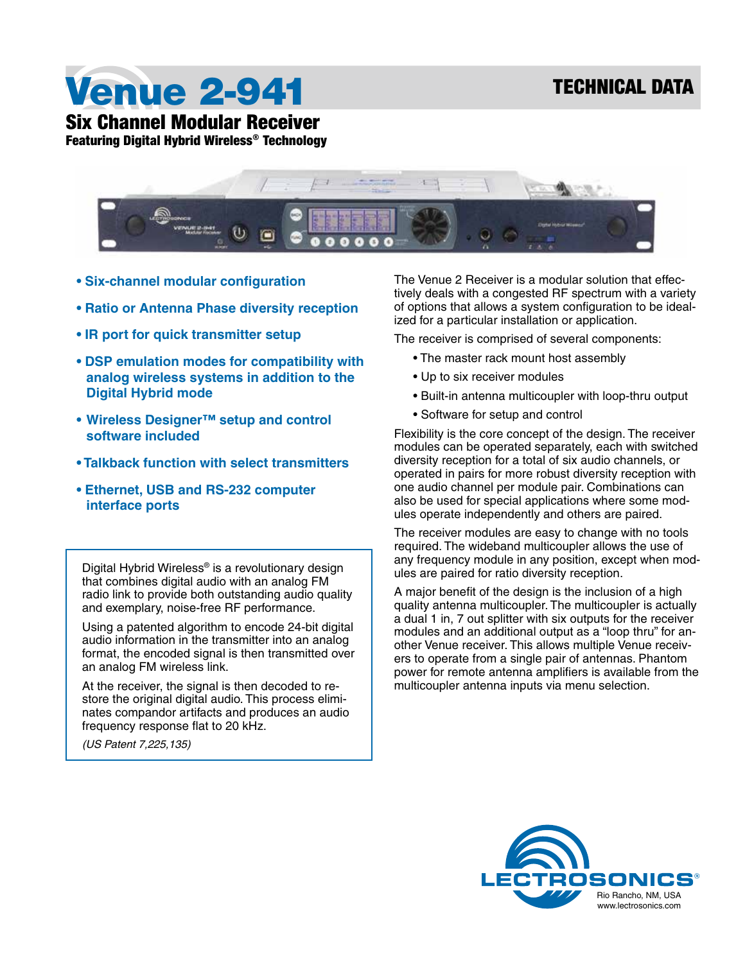Venue 2-941

Six Channel Modular Receiver

Featuring Digital Hybrid Wireless® Technology



- **Six-channel modular configuration**
- **Ratio or Antenna Phase diversity reception**
- **IR port for quick transmitter setup**
- **DSP emulation modes for compatibility with analog wireless systems in addition to the Digital Hybrid mode**
- **• Wireless Designer™ setup and control software included**
- **Talkback function with select transmitters**
- **Ethernet, USB and RS-232 computer interface ports**

Digital Hybrid Wireless® is a revolutionary design that combines digital audio with an analog FM radio link to provide both outstanding audio quality and exemplary, noise-free RF performance.

Using a patented algorithm to encode 24-bit digital audio information in the transmitter into an analog format, the encoded signal is then transmitted over an analog FM wireless link.

At the receiver, the signal is then decoded to restore the original digital audio. This process eliminates compandor artifacts and produces an audio frequency response flat to 20 kHz.

*(US Patent 7,225,135)*

The Venue 2 Receiver is a modular solution that effectively deals with a congested RF spectrum with a variety of options that allows a system configuration to be idealized for a particular installation or application.

The receiver is comprised of several components:

- The master rack mount host assembly
- Up to six receiver modules
- Built-in antenna multicoupler with loop-thru output
- Software for setup and control

Flexibility is the core concept of the design. The receiver modules can be operated separately, each with switched diversity reception for a total of six audio channels, or operated in pairs for more robust diversity reception with one audio channel per module pair. Combinations can also be used for special applications where some modules operate independently and others are paired.

The receiver modules are easy to change with no tools required. The wideband multicoupler allows the use of any frequency module in any position, except when modules are paired for ratio diversity reception.

A major benefit of the design is the inclusion of a high quality antenna multicoupler. The multicoupler is actually a dual 1 in, 7 out splitter with six outputs for the receiver modules and an additional output as a "loop thru" for another Venue receiver. This allows multiple Venue receivers to operate from a single pair of antennas. Phantom power for remote antenna amplifiers is available from the multicoupler antenna inputs via menu selection.

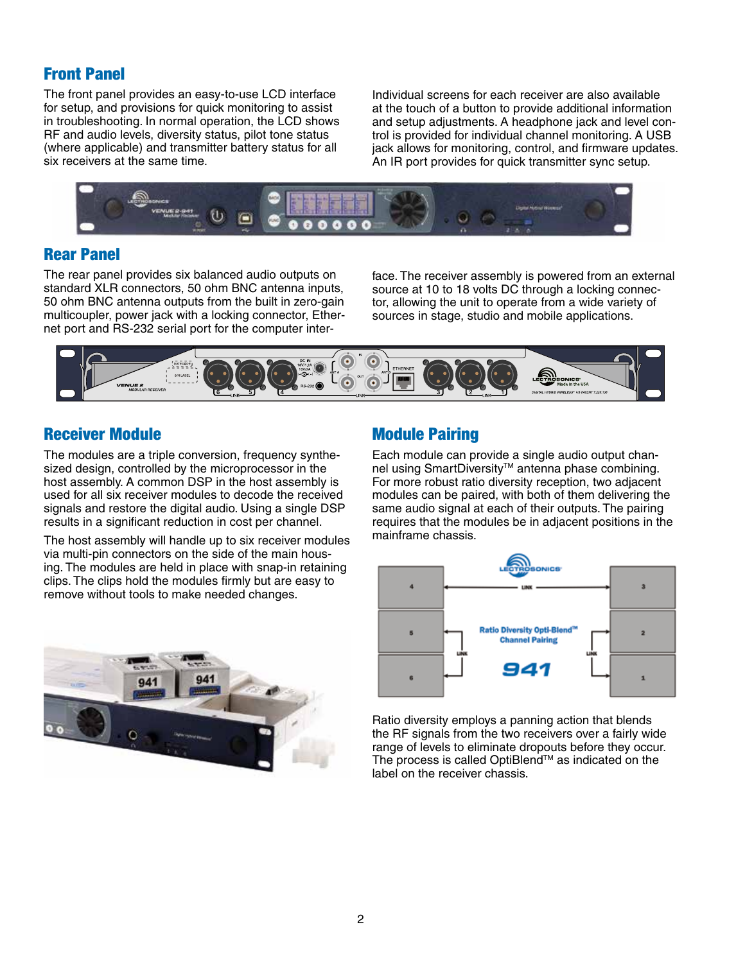## Front Panel

The front panel provides an easy-to-use LCD interface for setup, and provisions for quick monitoring to assist in troubleshooting. In normal operation, the LCD shows RF and audio levels, diversity status, pilot tone status (where applicable) and transmitter battery status for all six receivers at the same time.

Individual screens for each receiver are also available at the touch of a button to provide additional information and setup adjustments. A headphone jack and level control is provided for individual channel monitoring. A USB jack allows for monitoring, control, and firmware updates. An IR port provides for quick transmitter sync setup.



## Rear Panel

The rear panel provides six balanced audio outputs on standard XLR connectors, 50 ohm BNC antenna inputs, 50 ohm BNC antenna outputs from the built in zero-gain multicoupler, power jack with a locking connector, Ethernet port and RS-232 serial port for the computer interface. The receiver assembly is powered from an external source at 10 to 18 volts DC through a locking connector, allowing the unit to operate from a wide variety of sources in stage, studio and mobile applications.



## Receiver Module

The modules are a triple conversion, frequency synthesized design, controlled by the microprocessor in the host assembly. A common DSP in the host assembly is used for all six receiver modules to decode the received signals and restore the digital audio. Using a single DSP results in a significant reduction in cost per channel.

The host assembly will handle up to six receiver modules via multi-pin connectors on the side of the main housing. The modules are held in place with snap-in retaining clips. The clips hold the modules firmly but are easy to remove without tools to make needed changes.



## Module Pairing

Each module can provide a single audio output channel using SmartDiversity™ antenna phase combining. For more robust ratio diversity reception, two adjacent modules can be paired, with both of them delivering the same audio signal at each of their outputs. The pairing requires that the modules be in adjacent positions in the mainframe chassis.



Ratio diversity employs a panning action that blends the RF signals from the two receivers over a fairly wide range of levels to eliminate dropouts before they occur. The process is called OptiBlend™ as indicated on the label on the receiver chassis.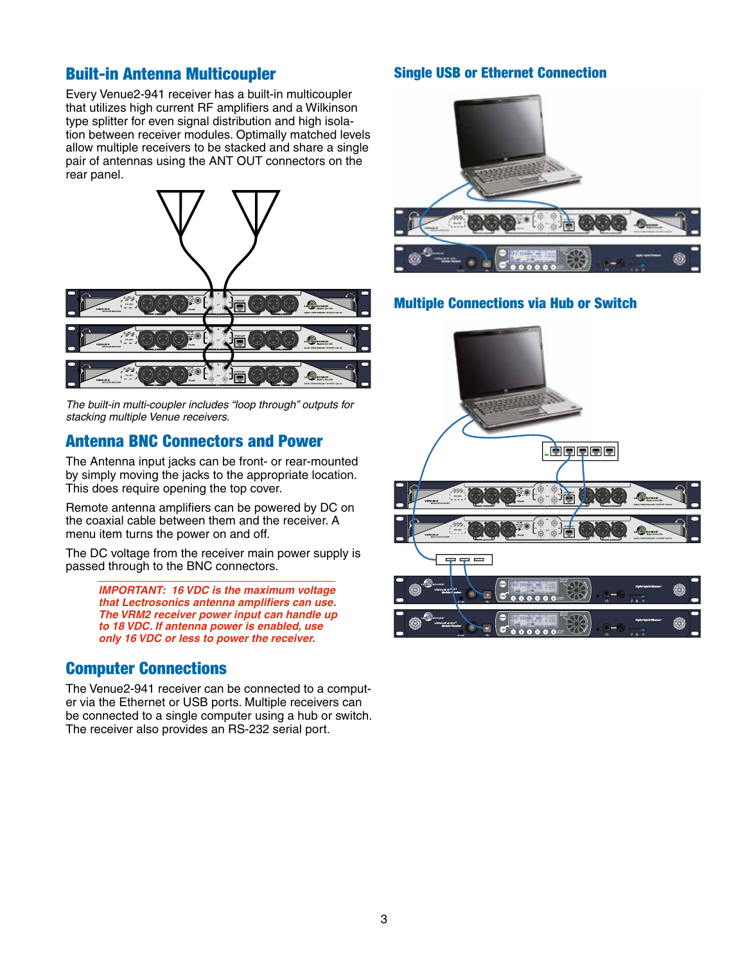### Built-in Antenna Multicoupler

Every Venue2-941 receiver has a built-in multicoupler that utilizes high current RF amplifiers and a Wilkinson type splitter for even signal distribution and high isolation between receiver modules. Optimally matched levels allow multiple receivers to be stacked and share a single pair of antennas using the ANT OUT connectors on the rear panel.



*The built-in multi-coupler includes "loop through" outputs for stacking multiple Venue receivers.*

#### Antenna BNC Connectors and Power

The Antenna input jacks can be front- or rear-mounted by simply moving the jacks to the appropriate location. This does require opening the top cover.

Remote antenna amplifiers can be powered by DC on the coaxial cable between them and the receiver. A menu item turns the power on and off.

The DC voltage from the receiver main power supply is passed through to the BNC connectors.

> *IMPORTANT: 16 VDC is the maximum voltage that Lectrosonics antenna amplifiers can use. The VRM2 receiver power input can handle up to 18 VDC. If antenna power is enabled, use only 16 VDC or less to power the receiver.*

## Computer Connections

The Venue2-941 receiver can be connected to a computer via the Ethernet or USB ports. Multiple receivers can be connected to a single computer using a hub or switch. The receiver also provides an RS-232 serial port.

#### Single USB or Ethernet Connection



#### Multiple Connections via Hub or Switch

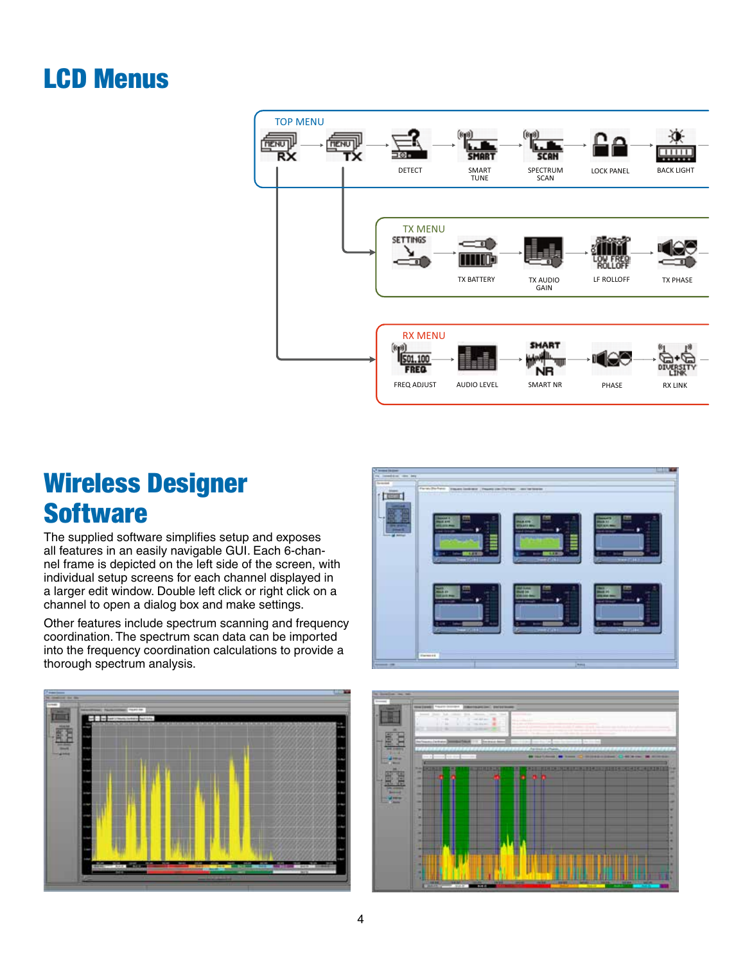# LCD Menus



## Wireless Designer **Software**

The supplied software simplifies setup and exposes all features in an easily navigable GUI. Each 6-channel frame is depicted on the left side of the screen, with individual setup screens for each channel displayed in a larger edit window. Double left click or right click on a channel to open a dialog box and make settings.

Other features include spectrum scanning and frequency coordination. The spectrum scan data can be imported into the frequency coordination calculations to provide a thorough spectrum analysis.





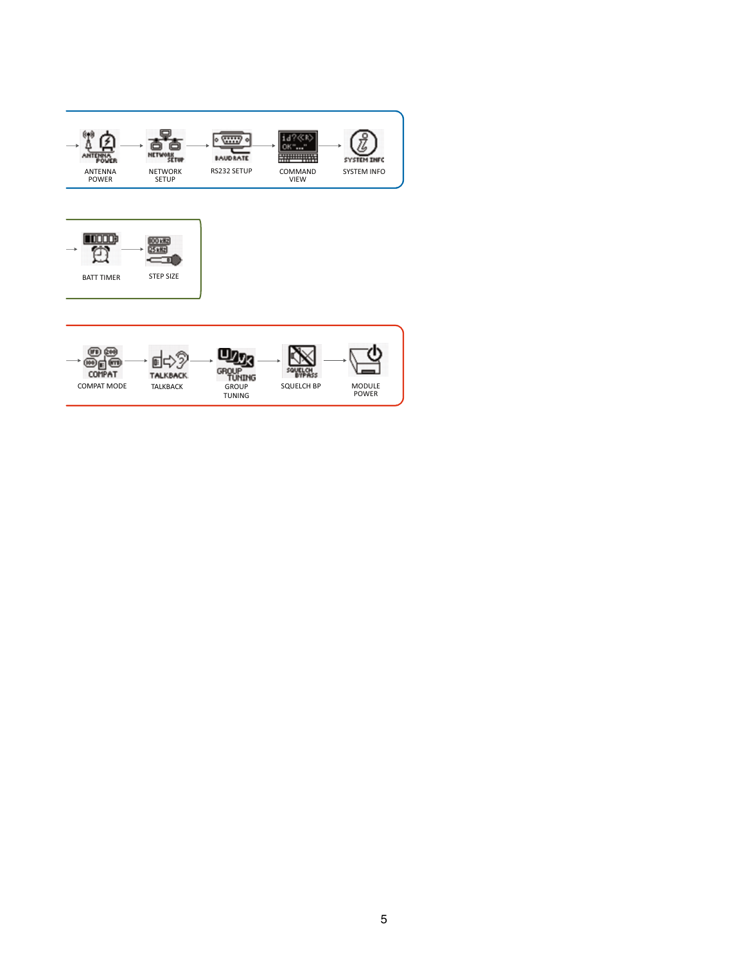| <b>POWER</b><br><b>ANTENNA</b><br><b>POWER</b> | <b>NETWOR</b><br>SET₩<br><b>NETWORK</b><br><b>SETUP</b> | w<br><b>BAUD RATE</b><br>RS232 SETUP             | <br>COMMAND<br><b>VIEW</b> | <b>SYSTEM INFO</b><br><b>SYSTEM INFO</b> |
|------------------------------------------------|---------------------------------------------------------|--------------------------------------------------|----------------------------|------------------------------------------|
| <b>BATT TIMER</b>                              | i00 k<br>25 kHz<br><b>STEP SIZE</b>                     |                                                  |                            |                                          |
| <u>(JOB</u><br>COMPAT<br><b>COMPAT MODE</b>    | <b>TALKBACK</b><br><b>TALKBACK</b>                      | GROUP<br>TÚNING<br><b>GROUP</b><br><b>TUNING</b> | <b>SQUELCH BP</b>          | <b>MODULE</b><br><b>POWER</b>            |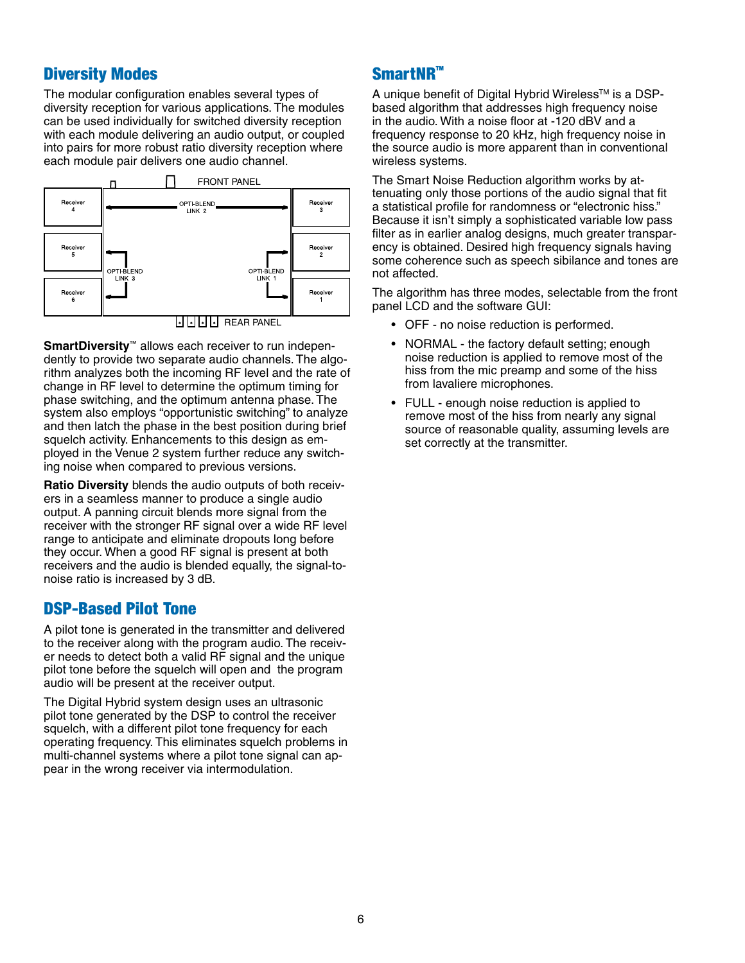## Diversity Modes

The modular configuration enables several types of diversity reception for various applications. The modules can be used individually for switched diversity reception with each module delivering an audio output, or coupled into pairs for more robust ratio diversity reception where each module pair delivers one audio channel.



**SmartDiversity**™ allows each receiver to run independently to provide two separate audio channels. The algorithm analyzes both the incoming RF level and the rate of change in RF level to determine the optimum timing for phase switching, and the optimum antenna phase. The system also employs "opportunistic switching" to analyze and then latch the phase in the best position during brief squelch activity. Enhancements to this design as employed in the Venue 2 system further reduce any switching noise when compared to previous versions.

**Ratio Diversity** blends the audio outputs of both receivers in a seamless manner to produce a single audio output. A panning circuit blends more signal from the receiver with the stronger RF signal over a wide RF level range to anticipate and eliminate dropouts long before they occur. When a good RF signal is present at both receivers and the audio is blended equally, the signal-tonoise ratio is increased by 3 dB.

#### DSP-Based Pilot Tone

A pilot tone is generated in the transmitter and delivered to the receiver along with the program audio. The receiver needs to detect both a valid RF signal and the unique pilot tone before the squelch will open and the program audio will be present at the receiver output.

The Digital Hybrid system design uses an ultrasonic pilot tone generated by the DSP to control the receiver squelch, with a different pilot tone frequency for each operating frequency. This eliminates squelch problems in multi-channel systems where a pilot tone signal can appear in the wrong receiver via intermodulation.

## SmartNR™

A unique benefit of Digital Hybrid Wireless™ is a DSPbased algorithm that addresses high frequency noise in the audio. With a noise floor at -120 dBV and a frequency response to 20 kHz, high frequency noise in the source audio is more apparent than in conventional wireless systems.

The Smart Noise Reduction algorithm works by attenuating only those portions of the audio signal that fit a statistical profile for randomness or "electronic hiss." Because it isn't simply a sophisticated variable low pass filter as in earlier analog designs, much greater transparency is obtained. Desired high frequency signals having some coherence such as speech sibilance and tones are not affected.

The algorithm has three modes, selectable from the front panel LCD and the software GUI:

- OFF no noise reduction is performed.
- NORMAL the factory default setting; enough noise reduction is applied to remove most of the hiss from the mic preamp and some of the hiss from lavaliere microphones.
- FULL enough noise reduction is applied to remove most of the hiss from nearly any signal source of reasonable quality, assuming levels are set correctly at the transmitter.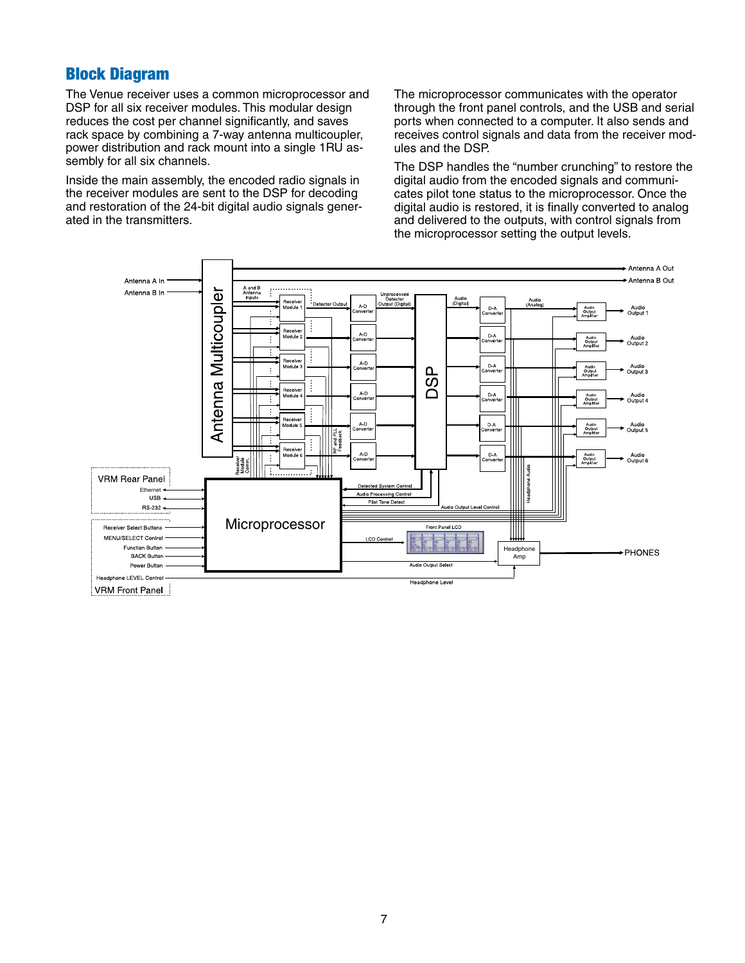## Block Diagram

The Venue receiver uses a common microprocessor and DSP for all six receiver modules. This modular design reduces the cost per channel significantly, and saves rack space by combining a 7-way antenna multicoupler, power distribution and rack mount into a single 1RU assembly for all six channels.

Inside the main assembly, the encoded radio signals in the receiver modules are sent to the DSP for decoding and restoration of the 24-bit digital audio signals generated in the transmitters.

The microprocessor communicates with the operator through the front panel controls, and the USB and serial ports when connected to a computer. It also sends and receives control signals and data from the receiver modules and the DSP.

The DSP handles the "number crunching" to restore the digital audio from the encoded signals and communicates pilot tone status to the microprocessor. Once the digital audio is restored, it is finally converted to analog and delivered to the outputs, with control signals from the microprocessor setting the output levels.